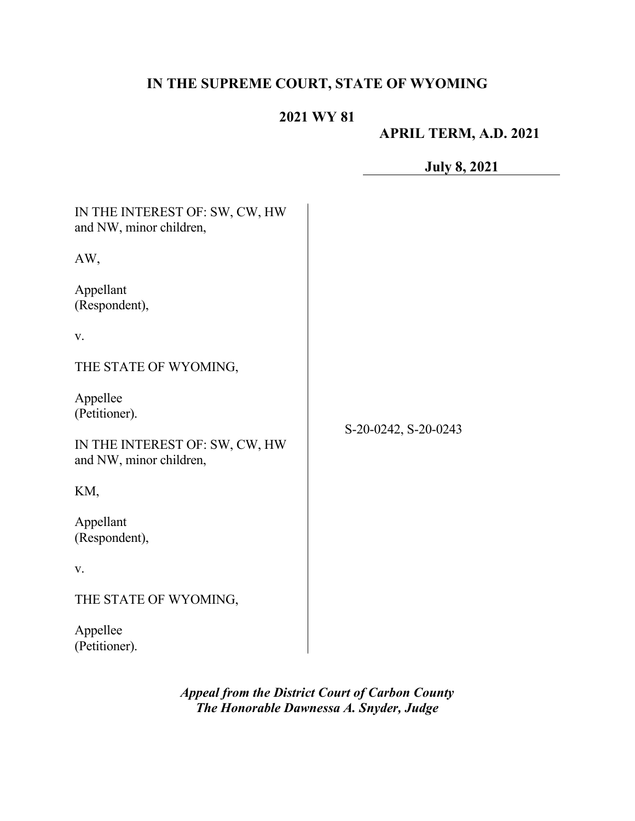# **IN THE SUPREME COURT, STATE OF WYOMING**

# **2021 WY 81**

# **APRIL TERM, A.D. 2021**

**July 8, 2021**

| IN THE INTEREST OF: SW, CW, HW<br>and NW, minor children,                              |                      |
|----------------------------------------------------------------------------------------|----------------------|
| AW,                                                                                    |                      |
| Appellant<br>(Respondent),                                                             |                      |
| V.                                                                                     |                      |
| THE STATE OF WYOMING,                                                                  |                      |
| Appellee<br>(Petitioner).<br>IN THE INTEREST OF: SW, CW, HW<br>and NW, minor children, | S-20-0242, S-20-0243 |
| KM,                                                                                    |                      |
| Appellant<br>(Respondent),                                                             |                      |
| V.                                                                                     |                      |
| THE STATE OF WYOMING,                                                                  |                      |
| Appellee<br>(Petitioner).                                                              |                      |

*Appeal from the District Court of Carbon County The Honorable Dawnessa A. Snyder, Judge*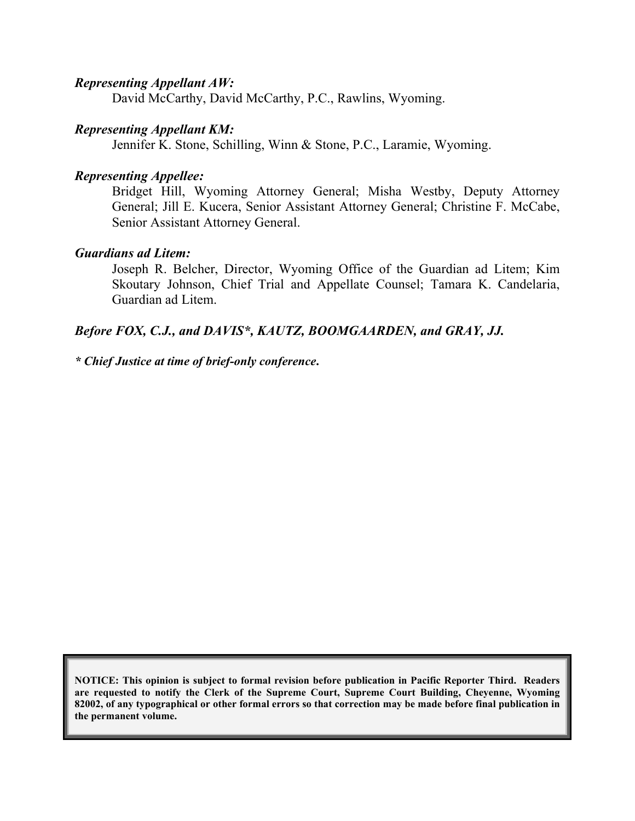#### *Representing Appellant AW:*

David McCarthy, David McCarthy, P.C., Rawlins, Wyoming.

## *Representing Appellant KM:*

Jennifer K. Stone, Schilling, Winn & Stone, P.C., Laramie, Wyoming.

### *Representing Appellee:*

Bridget Hill, Wyoming Attorney General; Misha Westby, Deputy Attorney General; Jill E. Kucera, Senior Assistant Attorney General; Christine F. McCabe, Senior Assistant Attorney General.

## *Guardians ad Litem:*

Joseph R. Belcher, Director, Wyoming Office of the Guardian ad Litem; Kim Skoutary Johnson, Chief Trial and Appellate Counsel; Tamara K. Candelaria, Guardian ad Litem.

## *Before FOX, C.J., and DAVIS\*, KAUTZ, BOOMGAARDEN, and GRAY, JJ.*

*\* Chief Justice at time of brief-only conference***.**

**NOTICE: This opinion is subject to formal revision before publication in Pacific Reporter Third. Readers are requested to notify the Clerk of the Supreme Court, Supreme Court Building, Cheyenne, Wyoming 82002, of any typographical or other formal errors so that correction may be made before final publication in the permanent volume.**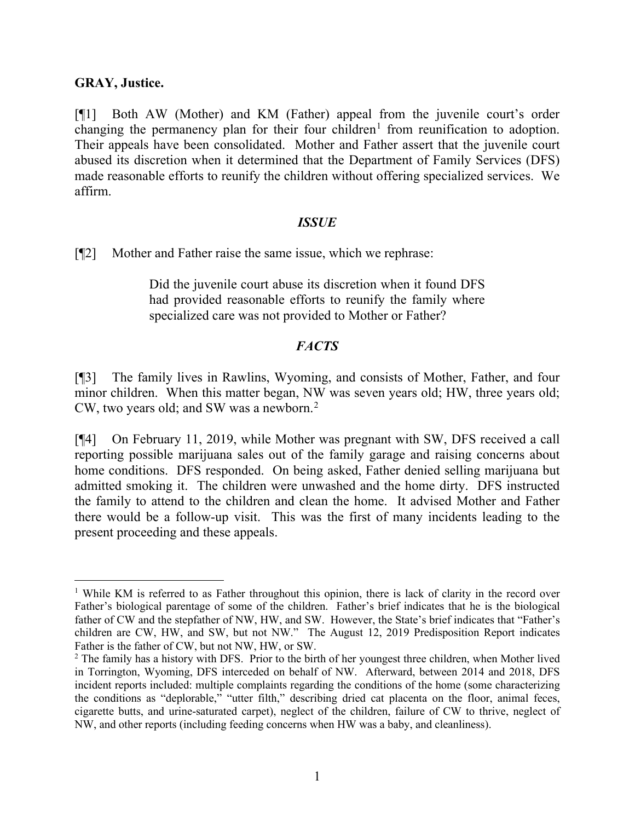### **GRAY, Justice.**

[¶1] Both AW (Mother) and KM (Father) appeal from the juvenile court's order changing the permanency plan for their four children<sup>[1](#page-2-0)</sup> from reunification to adoption. Their appeals have been consolidated. Mother and Father assert that the juvenile court abused its discretion when it determined that the Department of Family Services (DFS) made reasonable efforts to reunify the children without offering specialized services. We affirm.

#### *ISSUE*

[¶2] Mother and Father raise the same issue, which we rephrase:

Did the juvenile court abuse its discretion when it found DFS had provided reasonable efforts to reunify the family where specialized care was not provided to Mother or Father?

## *FACTS*

[¶3] The family lives in Rawlins, Wyoming, and consists of Mother, Father, and four minor children. When this matter began, NW was seven years old; HW, three years old; CW, two years old; and SW was a newborn. [2](#page-2-1)

[¶4] On February 11, 2019, while Mother was pregnant with SW, DFS received a call reporting possible marijuana sales out of the family garage and raising concerns about home conditions. DFS responded. On being asked, Father denied selling marijuana but admitted smoking it. The children were unwashed and the home dirty. DFS instructed the family to attend to the children and clean the home. It advised Mother and Father there would be a follow-up visit. This was the first of many incidents leading to the present proceeding and these appeals.

<span id="page-2-0"></span><sup>&</sup>lt;sup>1</sup> While KM is referred to as Father throughout this opinion, there is lack of clarity in the record over Father's biological parentage of some of the children. Father's brief indicates that he is the biological father of CW and the stepfather of NW, HW, and SW. However, the State's brief indicates that "Father's children are CW, HW, and SW, but not NW." The August 12, 2019 Predisposition Report indicates Father is the father of CW, but not NW, HW, or SW.

<span id="page-2-1"></span><sup>&</sup>lt;sup>2</sup> The family has a history with DFS. Prior to the birth of her youngest three children, when Mother lived in Torrington, Wyoming, DFS interceded on behalf of NW. Afterward, between 2014 and 2018, DFS incident reports included: multiple complaints regarding the conditions of the home (some characterizing the conditions as "deplorable," "utter filth," describing dried cat placenta on the floor, animal feces, cigarette butts, and urine-saturated carpet), neglect of the children, failure of CW to thrive, neglect of NW, and other reports (including feeding concerns when HW was a baby, and cleanliness).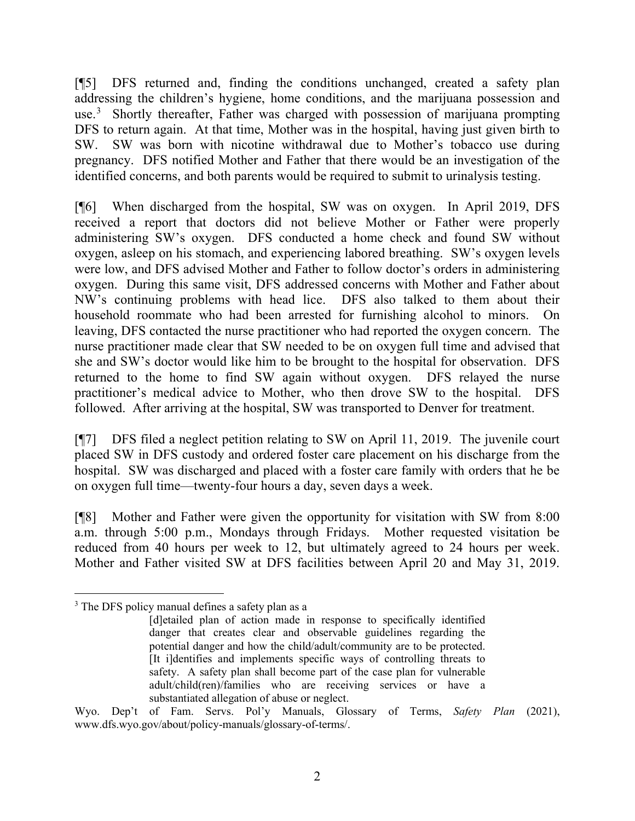[¶5] DFS returned and, finding the conditions unchanged, created a safety plan addressing the children's hygiene, home conditions, and the marijuana possession and use.<sup>[3](#page-3-0)</sup> Shortly thereafter, Father was charged with possession of marijuana prompting DFS to return again. At that time, Mother was in the hospital, having just given birth to SW. SW was born with nicotine withdrawal due to Mother's tobacco use during pregnancy. DFS notified Mother and Father that there would be an investigation of the identified concerns, and both parents would be required to submit to urinalysis testing.

[¶6] When discharged from the hospital, SW was on oxygen. In April 2019, DFS received a report that doctors did not believe Mother or Father were properly administering SW's oxygen. DFS conducted a home check and found SW without oxygen, asleep on his stomach, and experiencing labored breathing. SW's oxygen levels were low, and DFS advised Mother and Father to follow doctor's orders in administering oxygen. During this same visit, DFS addressed concerns with Mother and Father about NW's continuing problems with head lice. DFS also talked to them about their household roommate who had been arrested for furnishing alcohol to minors. On leaving, DFS contacted the nurse practitioner who had reported the oxygen concern. The nurse practitioner made clear that SW needed to be on oxygen full time and advised that she and SW's doctor would like him to be brought to the hospital for observation. DFS returned to the home to find SW again without oxygen. DFS relayed the nurse practitioner's medical advice to Mother, who then drove SW to the hospital. DFS followed. After arriving at the hospital, SW was transported to Denver for treatment.

[¶7] DFS filed a neglect petition relating to SW on April 11, 2019. The juvenile court placed SW in DFS custody and ordered foster care placement on his discharge from the hospital. SW was discharged and placed with a foster care family with orders that he be on oxygen full time—twenty-four hours a day, seven days a week.

[¶8] Mother and Father were given the opportunity for visitation with SW from 8:00 a.m. through 5:00 p.m., Mondays through Fridays. Mother requested visitation be reduced from 40 hours per week to 12, but ultimately agreed to 24 hours per week. Mother and Father visited SW at DFS facilities between April 20 and May 31, 2019.

<span id="page-3-0"></span><sup>&</sup>lt;sup>3</sup> The DFS policy manual defines a safety plan as a

<sup>[</sup>d]etailed plan of action made in response to specifically identified danger that creates clear and observable guidelines regarding the potential danger and how the child/adult/community are to be protected. [It i]dentifies and implements specific ways of controlling threats to safety. A safety plan shall become part of the case plan for vulnerable adult/child(ren)/families who are receiving services or have a substantiated allegation of abuse or neglect.

Wyo. Dep't of Fam. Servs. Pol'y Manuals, Glossary of Terms, *Safety Plan* (2021), www.dfs.wyo.gov/about/policy-manuals/glossary-of-terms/.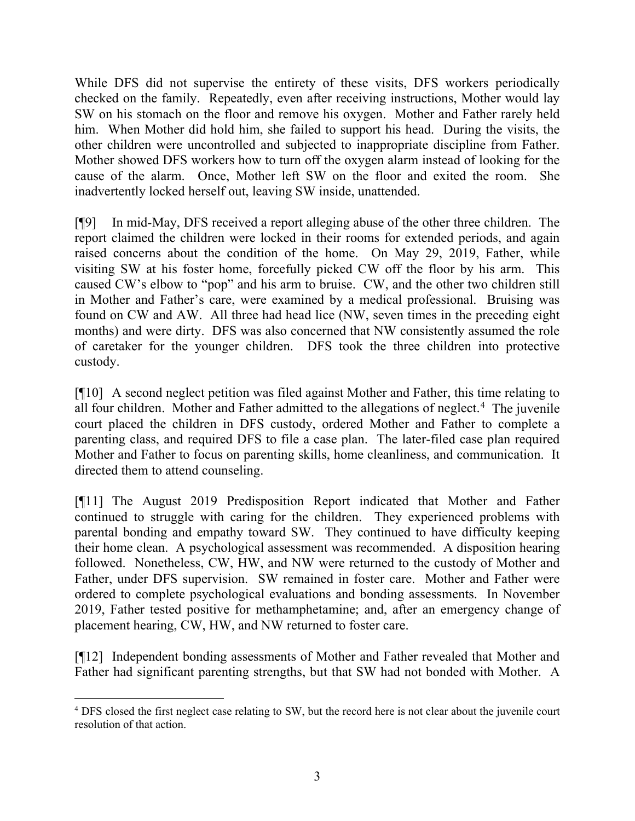While DFS did not supervise the entirety of these visits, DFS workers periodically checked on the family. Repeatedly, even after receiving instructions, Mother would lay SW on his stomach on the floor and remove his oxygen. Mother and Father rarely held him. When Mother did hold him, she failed to support his head. During the visits, the other children were uncontrolled and subjected to inappropriate discipline from Father. Mother showed DFS workers how to turn off the oxygen alarm instead of looking for the cause of the alarm. Once, Mother left SW on the floor and exited the room. She inadvertently locked herself out, leaving SW inside, unattended.

[¶9] In mid-May, DFS received a report alleging abuse of the other three children. The report claimed the children were locked in their rooms for extended periods, and again raised concerns about the condition of the home. On May 29, 2019, Father, while visiting SW at his foster home, forcefully picked CW off the floor by his arm. This caused CW's elbow to "pop" and his arm to bruise. CW, and the other two children still in Mother and Father's care, were examined by a medical professional. Bruising was found on CW and AW. All three had head lice (NW, seven times in the preceding eight months) and were dirty. DFS was also concerned that NW consistently assumed the role of caretaker for the younger children. DFS took the three children into protective custody.

[¶10] A second neglect petition was filed against Mother and Father, this time relating to all four children. Mother and Father admitted to the allegations of neglect. [4](#page-4-0) The juvenile court placed the children in DFS custody, ordered Mother and Father to complete a parenting class, and required DFS to file a case plan. The later-filed case plan required Mother and Father to focus on parenting skills, home cleanliness, and communication. It directed them to attend counseling.

[¶11] The August 2019 Predisposition Report indicated that Mother and Father continued to struggle with caring for the children. They experienced problems with parental bonding and empathy toward SW. They continued to have difficulty keeping their home clean. A psychological assessment was recommended. A disposition hearing followed. Nonetheless, CW, HW, and NW were returned to the custody of Mother and Father, under DFS supervision. SW remained in foster care. Mother and Father were ordered to complete psychological evaluations and bonding assessments. In November 2019, Father tested positive for methamphetamine; and, after an emergency change of placement hearing, CW, HW, and NW returned to foster care.

[¶12] Independent bonding assessments of Mother and Father revealed that Mother and Father had significant parenting strengths, but that SW had not bonded with Mother. A

<span id="page-4-0"></span><sup>4</sup> DFS closed the first neglect case relating to SW, but the record here is not clear about the juvenile court resolution of that action.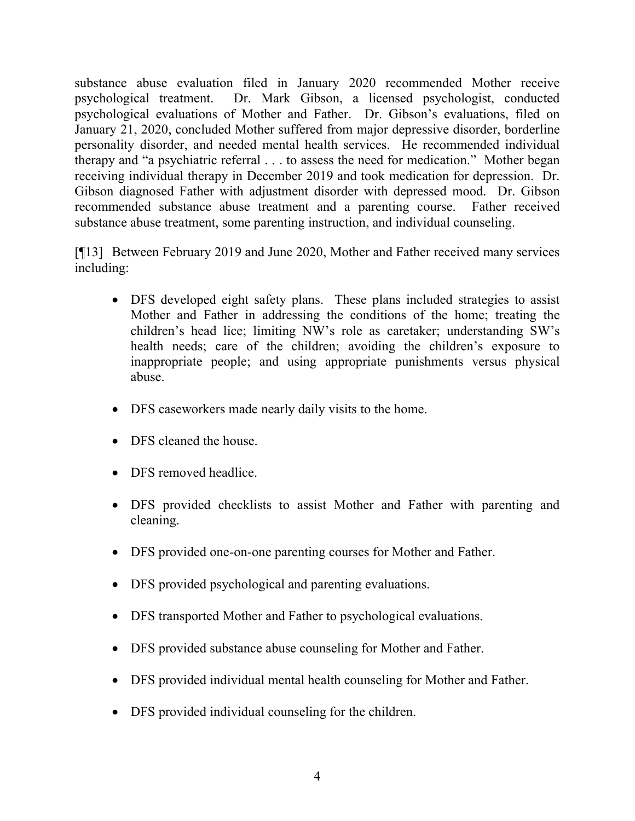substance abuse evaluation filed in January 2020 recommended Mother receive psychological treatment. Dr. Mark Gibson, a licensed psychologist, conducted psychological evaluations of Mother and Father. Dr. Gibson's evaluations, filed on January 21, 2020, concluded Mother suffered from major depressive disorder, borderline personality disorder, and needed mental health services. He recommended individual therapy and "a psychiatric referral . . . to assess the need for medication." Mother began receiving individual therapy in December 2019 and took medication for depression. Dr. Gibson diagnosed Father with adjustment disorder with depressed mood. Dr. Gibson recommended substance abuse treatment and a parenting course. Father received substance abuse treatment, some parenting instruction, and individual counseling.

[¶13] Between February 2019 and June 2020, Mother and Father received many services including:

- DFS developed eight safety plans. These plans included strategies to assist Mother and Father in addressing the conditions of the home; treating the children's head lice; limiting NW's role as caretaker; understanding SW's health needs; care of the children; avoiding the children's exposure to inappropriate people; and using appropriate punishments versus physical abuse.
- DFS caseworkers made nearly daily visits to the home.
- DFS cleaned the house.
- DFS removed headlice.
- DFS provided checklists to assist Mother and Father with parenting and cleaning.
- DFS provided one-on-one parenting courses for Mother and Father.
- DFS provided psychological and parenting evaluations.
- DFS transported Mother and Father to psychological evaluations.
- DFS provided substance abuse counseling for Mother and Father.
- DFS provided individual mental health counseling for Mother and Father.
- DFS provided individual counseling for the children.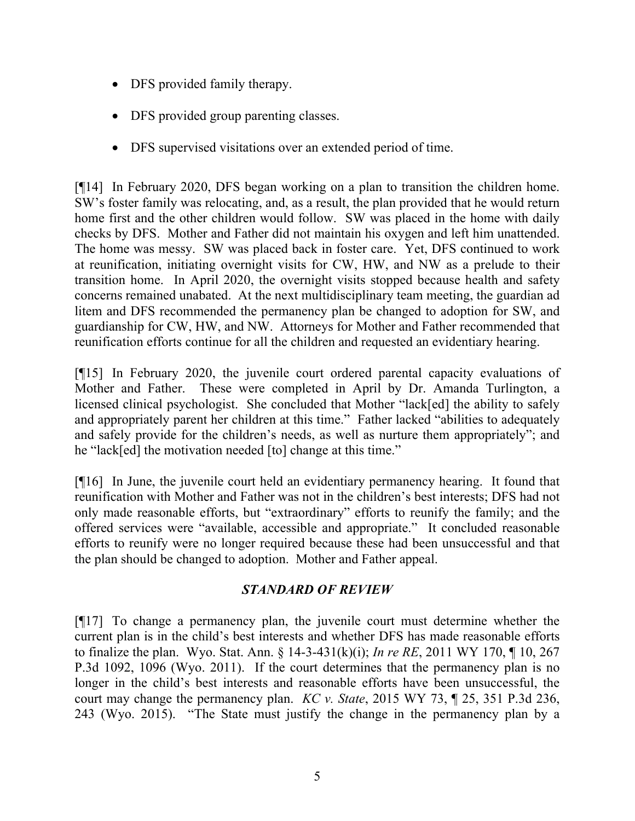- DFS provided family therapy.
- DFS provided group parenting classes.
- DFS supervised visitations over an extended period of time.

[¶14] In February 2020, DFS began working on a plan to transition the children home. SW's foster family was relocating, and, as a result, the plan provided that he would return home first and the other children would follow. SW was placed in the home with daily checks by DFS. Mother and Father did not maintain his oxygen and left him unattended. The home was messy. SW was placed back in foster care. Yet, DFS continued to work at reunification, initiating overnight visits for CW, HW, and NW as a prelude to their transition home. In April 2020, the overnight visits stopped because health and safety concerns remained unabated. At the next multidisciplinary team meeting, the guardian ad litem and DFS recommended the permanency plan be changed to adoption for SW, and guardianship for CW, HW, and NW. Attorneys for Mother and Father recommended that reunification efforts continue for all the children and requested an evidentiary hearing.

[¶15] In February 2020, the juvenile court ordered parental capacity evaluations of Mother and Father. These were completed in April by Dr. Amanda Turlington, a licensed clinical psychologist. She concluded that Mother "lack[ed] the ability to safely and appropriately parent her children at this time." Father lacked "abilities to adequately and safely provide for the children's needs, as well as nurture them appropriately"; and he "lack[ed] the motivation needed [to] change at this time."

[¶16] In June, the juvenile court held an evidentiary permanency hearing. It found that reunification with Mother and Father was not in the children's best interests; DFS had not only made reasonable efforts, but "extraordinary" efforts to reunify the family; and the offered services were "available, accessible and appropriate." It concluded reasonable efforts to reunify were no longer required because these had been unsuccessful and that the plan should be changed to adoption. Mother and Father appeal.

# *STANDARD OF REVIEW*

[¶17] To change a permanency plan, the juvenile court must determine whether the current plan is in the child's best interests and whether DFS has made reasonable efforts to finalize the plan. Wyo. Stat. Ann. § 14-3-431(k)(i); *In re RE*, 2011 WY 170, ¶ 10, 267 P.3d 1092, 1096 (Wyo. 2011). If the court determines that the permanency plan is no longer in the child's best interests and reasonable efforts have been unsuccessful, the court may change the permanency plan. *KC v. State*, 2015 WY 73, ¶ 25, 351 P.3d 236, 243 (Wyo. 2015). "The State must justify the change in the permanency plan by a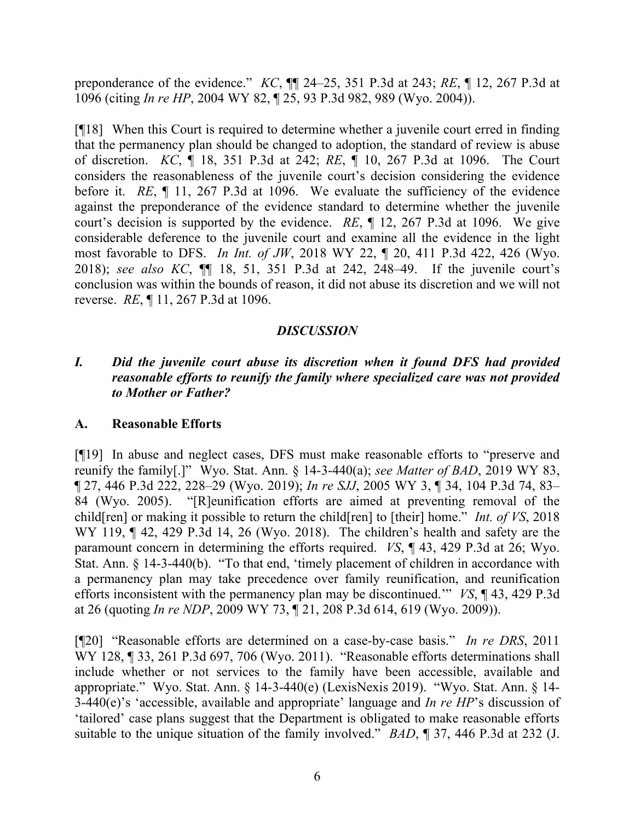preponderance of the evidence." *KC*, ¶¶ 24–25, 351 P.3d at 243; *RE*, ¶ 12, 267 P.3d at 1096 (citing *In re HP*, 2004 WY 82, ¶ 25, 93 P.3d 982, 989 (Wyo. 2004)).

[¶18] When this Court is required to determine whether a juvenile court erred in finding that the permanency plan should be changed to adoption, the standard of review is abuse of discretion. *KC*, ¶ 18, 351 P.3d at 242; *RE*, ¶ 10, 267 P.3d at 1096. The Court considers the reasonableness of the juvenile court's decision considering the evidence before it. *RE*, ¶ 11, 267 P.3d at 1096. We evaluate the sufficiency of the evidence against the preponderance of the evidence standard to determine whether the juvenile court's decision is supported by the evidence. *RE*, ¶ 12, 267 P.3d at 1096. We give considerable deference to the juvenile court and examine all the evidence in the light most favorable to DFS. *In Int. of JW*, 2018 WY 22, ¶ 20, 411 P.3d 422, 426 (Wyo. 2018); *see also KC*, ¶¶ 18, 51, 351 P.3d at 242, 248–49. If the juvenile court's conclusion was within the bounds of reason, it did not abuse its discretion and we will not reverse. *RE*, ¶ 11, 267 P.3d at 1096.

## *DISCUSSION*

# *I. Did the juvenile court abuse its discretion when it found DFS had provided reasonable efforts to reunify the family where specialized care was not provided to Mother or Father?*

## **A. Reasonable Efforts**

[¶19] In abuse and neglect cases, DFS must make reasonable efforts to "preserve and reunify the family[.]" Wyo. Stat. Ann. § 14-3-440(a); *see Matter of BAD*, 2019 WY 83, ¶ 27, 446 P.3d 222, 228–29 (Wyo. 2019); *In re SJJ*, 2005 WY 3, ¶ 34, 104 P.3d 74, 83– 84 (Wyo. 2005). "[R]eunification efforts are aimed at preventing removal of the child[ren] or making it possible to return the child[ren] to [their] home." *Int. of VS*, 2018 WY 119,  $\P$  42, 429 P.3d 14, 26 (Wyo. 2018). The children's health and safety are the paramount concern in determining the efforts required. *VS*, ¶ 43, 429 P.3d at 26; Wyo. Stat. Ann. § 14-3-440(b). "To that end, 'timely placement of children in accordance with a permanency plan may take precedence over family reunification, and reunification efforts inconsistent with the permanency plan may be discontinued.'" *VS*, ¶ 43, 429 P.3d at 26 (quoting *In re NDP*, 2009 WY 73, ¶ 21, 208 P.3d 614, 619 (Wyo. 2009)).

[¶20] "Reasonable efforts are determined on a case-by-case basis." *In re DRS*, 2011 WY 128, ¶ 33, 261 P.3d 697, 706 (Wyo. 2011). "Reasonable efforts determinations shall include whether or not services to the family have been accessible, available and appropriate." Wyo. Stat. Ann. § 14-3-440(e) (LexisNexis 2019). "Wyo. Stat. Ann. § 14- 3-440(e)'s 'accessible, available and appropriate' language and *In re HP*'s discussion of 'tailored' case plans suggest that the Department is obligated to make reasonable efforts suitable to the unique situation of the family involved." *BAD*, ¶ 37, 446 P.3d at 232 (J.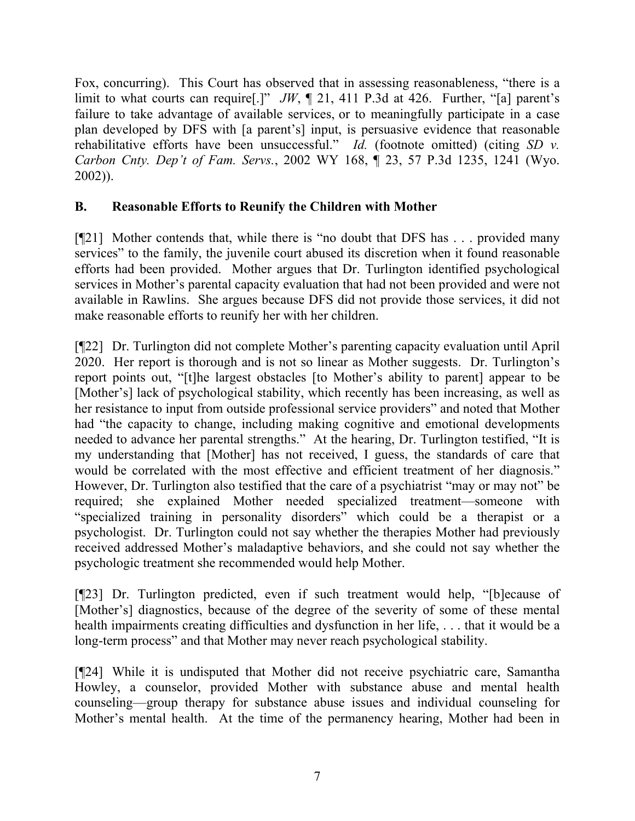Fox, concurring). This Court has observed that in assessing reasonableness, "there is a limit to what courts can require[.]" *JW*, ¶ 21, 411 P.3d at 426. Further, "[a] parent's failure to take advantage of available services, or to meaningfully participate in a case plan developed by DFS with [a parent's] input, is persuasive evidence that reasonable rehabilitative efforts have been unsuccessful." *Id.* (footnote omitted) (citing *SD v. Carbon Cnty. Dep't of Fam. Servs.*, 2002 WY 168, ¶ 23, 57 P.3d 1235, 1241 (Wyo. 2002)).

# **B. Reasonable Efforts to Reunify the Children with Mother**

[¶21] Mother contends that, while there is "no doubt that DFS has . . . provided many services" to the family, the juvenile court abused its discretion when it found reasonable efforts had been provided. Mother argues that Dr. Turlington identified psychological services in Mother's parental capacity evaluation that had not been provided and were not available in Rawlins. She argues because DFS did not provide those services, it did not make reasonable efforts to reunify her with her children.

[¶22] Dr. Turlington did not complete Mother's parenting capacity evaluation until April 2020. Her report is thorough and is not so linear as Mother suggests. Dr. Turlington's report points out, "[t]he largest obstacles [to Mother's ability to parent] appear to be [Mother's] lack of psychological stability, which recently has been increasing, as well as her resistance to input from outside professional service providers" and noted that Mother had "the capacity to change, including making cognitive and emotional developments needed to advance her parental strengths." At the hearing, Dr. Turlington testified, "It is my understanding that [Mother] has not received, I guess, the standards of care that would be correlated with the most effective and efficient treatment of her diagnosis." However, Dr. Turlington also testified that the care of a psychiatrist "may or may not" be required; she explained Mother needed specialized treatment—someone with "specialized training in personality disorders" which could be a therapist or a psychologist. Dr. Turlington could not say whether the therapies Mother had previously received addressed Mother's maladaptive behaviors, and she could not say whether the psychologic treatment she recommended would help Mother.

[¶23] Dr. Turlington predicted, even if such treatment would help, "[b]ecause of [Mother's] diagnostics, because of the degree of the severity of some of these mental health impairments creating difficulties and dysfunction in her life, ... that it would be a long-term process" and that Mother may never reach psychological stability.

[¶24] While it is undisputed that Mother did not receive psychiatric care, Samantha Howley, a counselor, provided Mother with substance abuse and mental health counseling—group therapy for substance abuse issues and individual counseling for Mother's mental health. At the time of the permanency hearing, Mother had been in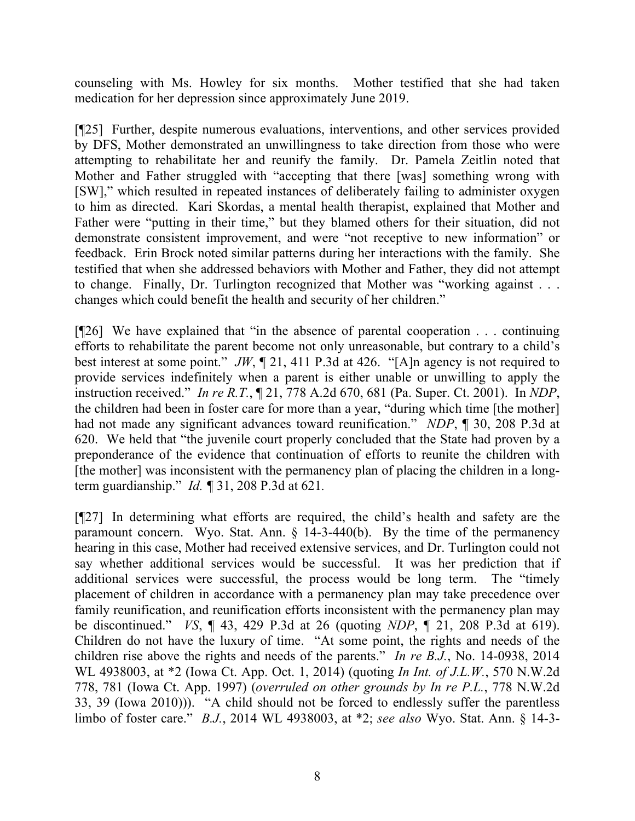counseling with Ms. Howley for six months. Mother testified that she had taken medication for her depression since approximately June 2019.

[¶25] Further, despite numerous evaluations, interventions, and other services provided by DFS, Mother demonstrated an unwillingness to take direction from those who were attempting to rehabilitate her and reunify the family. Dr. Pamela Zeitlin noted that Mother and Father struggled with "accepting that there [was] something wrong with [SW]," which resulted in repeated instances of deliberately failing to administer oxygen to him as directed. Kari Skordas, a mental health therapist, explained that Mother and Father were "putting in their time," but they blamed others for their situation, did not demonstrate consistent improvement, and were "not receptive to new information" or feedback. Erin Brock noted similar patterns during her interactions with the family. She testified that when she addressed behaviors with Mother and Father, they did not attempt to change. Finally, Dr. Turlington recognized that Mother was "working against . . . changes which could benefit the health and security of her children."

[¶26] We have explained that "in the absence of parental cooperation . . . continuing efforts to rehabilitate the parent become not only unreasonable, but contrary to a child's best interest at some point." *JW*, ¶ 21, 411 P.3d at 426. "[A]n agency is not required to provide services indefinitely when a parent is either unable or unwilling to apply the instruction received." *In re R.T.*, ¶ 21, 778 A.2d 670, 681 (Pa. Super. Ct. 2001). In *NDP*, the children had been in foster care for more than a year, "during which time [the mother] had not made any significant advances toward reunification." *NDP*, ¶ 30, 208 P.3d at 620. We held that "the juvenile court properly concluded that the State had proven by a preponderance of the evidence that continuation of efforts to reunite the children with [the mother] was inconsistent with the permanency plan of placing the children in a longterm guardianship." *Id. ¶* 31, 208 P.3d at 621*.*

[¶27] In determining what efforts are required, the child's health and safety are the paramount concern. Wyo. Stat. Ann. § 14-3-440(b). By the time of the permanency hearing in this case, Mother had received extensive services, and Dr. Turlington could not say whether additional services would be successful. It was her prediction that if additional services were successful, the process would be long term. The "timely placement of children in accordance with a permanency plan may take precedence over family reunification, and reunification efforts inconsistent with the permanency plan may be discontinued." *VS*, ¶ 43, 429 P.3d at 26 (quoting *NDP*, ¶ 21, 208 P.3d at 619). Children do not have the luxury of time. "At some point, the rights and needs of the children rise above the rights and needs of the parents." *In re B.J.*, No. 14-0938, 2014 WL 4938003, at \*2 (Iowa Ct. App. Oct. 1, 2014) (quoting *In Int. of J.L.W.*, 570 N.W.2d 778, 781 (Iowa Ct. App. 1997) (*overruled on other grounds by In re P.L.*, 778 N.W.2d 33, 39 (Iowa 2010))). "A child should not be forced to endlessly suffer the parentless limbo of foster care." *B.J.*, 2014 WL 4938003, at \*2; *see also* Wyo. Stat. Ann. § 14-3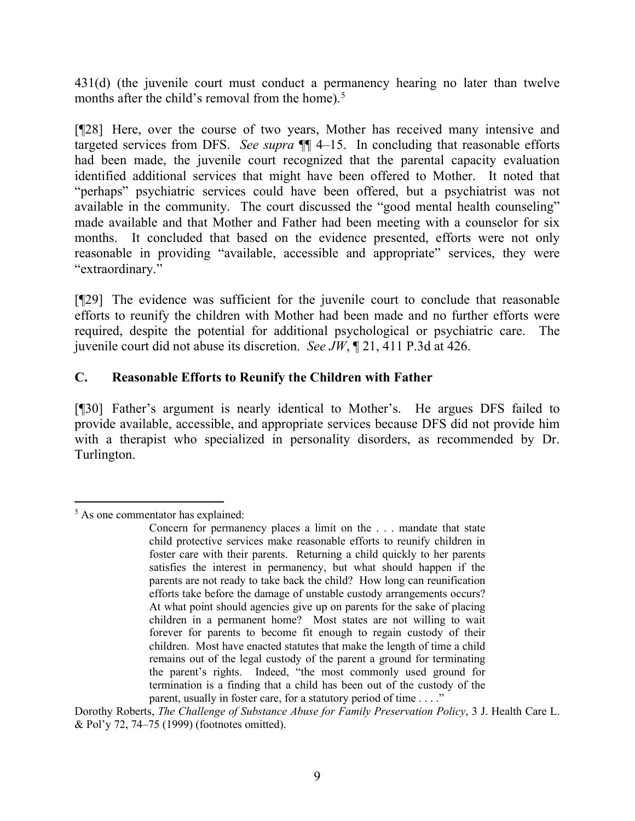431(d) (the juvenile court must conduct a permanency hearing no later than twelve months after the child's removal from the home).<sup>[5](#page-10-0)</sup>

[¶28] Here, over the course of two years, Mother has received many intensive and targeted services from DFS. *See supra* ¶¶ 4–15. In concluding that reasonable efforts had been made, the juvenile court recognized that the parental capacity evaluation identified additional services that might have been offered to Mother. It noted that "perhaps" psychiatric services could have been offered, but a psychiatrist was not available in the community. The court discussed the "good mental health counseling" made available and that Mother and Father had been meeting with a counselor for six months. It concluded that based on the evidence presented, efforts were not only reasonable in providing "available, accessible and appropriate" services, they were "extraordinary."

[¶29] The evidence was sufficient for the juvenile court to conclude that reasonable efforts to reunify the children with Mother had been made and no further efforts were required, despite the potential for additional psychological or psychiatric care. The juvenile court did not abuse its discretion. *See JW*, ¶ 21, 411 P.3d at 426.

# **C. Reasonable Efforts to Reunify the Children with Father**

[¶30] Father's argument is nearly identical to Mother's. He argues DFS failed to provide available, accessible, and appropriate services because DFS did not provide him with a therapist who specialized in personality disorders, as recommended by Dr. Turlington.

<span id="page-10-0"></span><sup>&</sup>lt;sup>5</sup> As one commentator has explained:

Concern for permanency places a limit on the . . . mandate that state child protective services make reasonable efforts to reunify children in foster care with their parents. Returning a child quickly to her parents satisfies the interest in permanency, but what should happen if the parents are not ready to take back the child? How long can reunification efforts take before the damage of unstable custody arrangements occurs? At what point should agencies give up on parents for the sake of placing children in a permanent home? Most states are not willing to wait forever for parents to become fit enough to regain custody of their children. Most have enacted statutes that make the length of time a child remains out of the legal custody of the parent a ground for terminating the parent's rights. Indeed, "the most commonly used ground for termination is a finding that a child has been out of the custody of the parent, usually in foster care, for a statutory period of time . . . ."

Dorothy Roberts, *The Challenge of Substance Abuse for Family Preservation Policy*, 3 J. Health Care L. & Pol'y 72, 74–75 (1999) (footnotes omitted).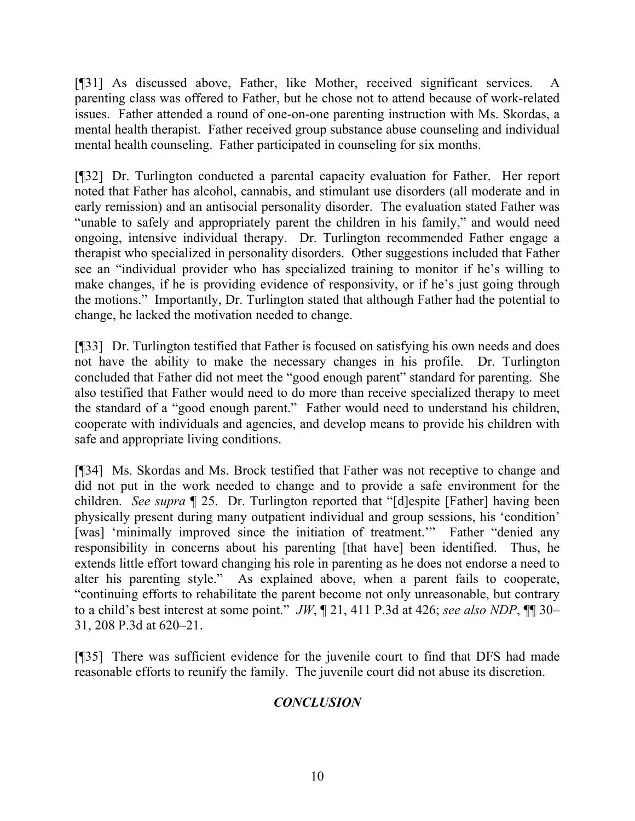[¶31] As discussed above, Father, like Mother, received significant services. A parenting class was offered to Father, but he chose not to attend because of work-related issues. Father attended a round of one-on-one parenting instruction with Ms. Skordas, a mental health therapist. Father received group substance abuse counseling and individual mental health counseling. Father participated in counseling for six months.

[¶32] Dr. Turlington conducted a parental capacity evaluation for Father. Her report noted that Father has alcohol, cannabis, and stimulant use disorders (all moderate and in early remission) and an antisocial personality disorder. The evaluation stated Father was "unable to safely and appropriately parent the children in his family," and would need ongoing, intensive individual therapy. Dr. Turlington recommended Father engage a therapist who specialized in personality disorders. Other suggestions included that Father see an "individual provider who has specialized training to monitor if he's willing to make changes, if he is providing evidence of responsivity, or if he's just going through the motions." Importantly, Dr. Turlington stated that although Father had the potential to change, he lacked the motivation needed to change.

[¶33] Dr. Turlington testified that Father is focused on satisfying his own needs and does not have the ability to make the necessary changes in his profile. Dr. Turlington concluded that Father did not meet the "good enough parent" standard for parenting. She also testified that Father would need to do more than receive specialized therapy to meet the standard of a "good enough parent." Father would need to understand his children, cooperate with individuals and agencies, and develop means to provide his children with safe and appropriate living conditions.

[¶34] Ms. Skordas and Ms. Brock testified that Father was not receptive to change and did not put in the work needed to change and to provide a safe environment for the children. *See supra* ¶ 25. Dr. Turlington reported that "[d]espite [Father] having been physically present during many outpatient individual and group sessions, his 'condition' [was] 'minimally improved since the initiation of treatment.'" Father "denied any responsibility in concerns about his parenting [that have] been identified. Thus, he extends little effort toward changing his role in parenting as he does not endorse a need to alter his parenting style." As explained above, when a parent fails to cooperate, "continuing efforts to rehabilitate the parent become not only unreasonable, but contrary to a child's best interest at some point." *JW*, ¶ 21, 411 P.3d at 426; *see also NDP*, ¶¶ 30– 31, 208 P.3d at 620–21.

[¶35] There was sufficient evidence for the juvenile court to find that DFS had made reasonable efforts to reunify the family. The juvenile court did not abuse its discretion.

# *CONCLUSION*